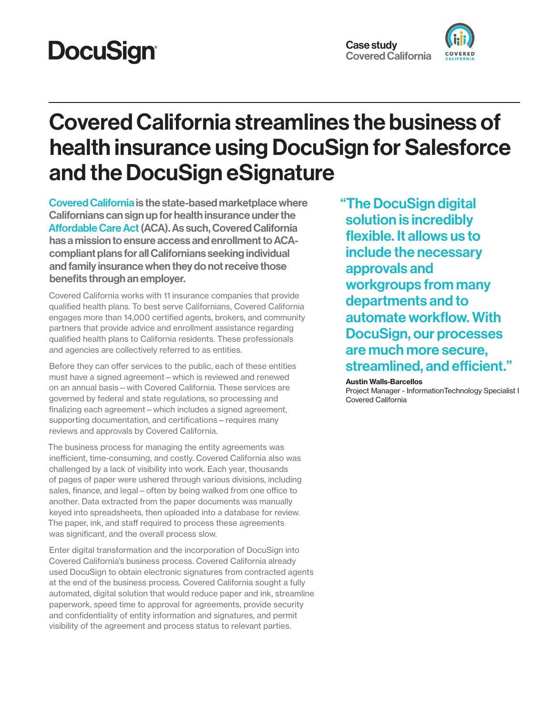# **DocuSign®**

## Covered California streamlines the business of health insurance using DocuSign for Salesforce and the DocuSign eSignature

[Covered California](https://www.coveredca.com/) is the state-based marketplace where Californians can sign up for health insurance under the [Affordable Care Act](https://www.healthcare.gov/glossary/patient-protection-and-affordable-care-act/) (ACA). As such, Covered California has a mission to ensure access and enrollment to ACAcompliant plans for all Californians seeking individual and family insurance when they do not receive those benefits through an employer.

Covered California works with 11 insurance companies that provide qualified health plans. To best serve Californians, Covered California engages more than 14,000 certified agents, brokers, and community partners that provide advice and enrollment assistance regarding qualified health plans to California residents. These professionals and agencies are collectively referred to as entities.

Before they can offer services to the public, each of these entities must have a signed agreement—which is reviewed and renewed on an annual basis—with Covered California. These services are governed by federal and state regulations, so processing and finalizing each agreement—which includes a signed agreement, supporting documentation, and certifications—requires many reviews and approvals by Covered California.

The business process for managing the entity agreements was inefficient, time-consuming, and costly. Covered California also was challenged by a lack of visibility into work. Each year, thousands of pages of paper were ushered through various divisions, including sales, finance, and legal—often by being walked from one office to another. Data extracted from the paper documents was manually keyed into spreadsheets, then uploaded into a database for review. The paper, ink, and staff required to process these agreements was significant, and the overall process slow.

Enter digital transformation and the incorporation of DocuSign into Covered California's business process. Covered California already used DocuSign to obtain electronic signatures from contracted agents at the end of the business process. Covered California sought a fully automated, digital solution that would reduce paper and ink, streamline paperwork, speed time to approval for agreements, provide security and confidentiality of entity information and signatures, and permit visibility of the agreement and process status to relevant parties.

"The DocuSign digital solution is incredibly flexible. It allows us to include the necessary approvals and workgroups from many departments and to automate workflow. With DocuSign, our processes are much more secure, streamlined, and efficient."

#### Austin Walls-Barcellos

Project Manager - InformationTechnology Specialist I Covered California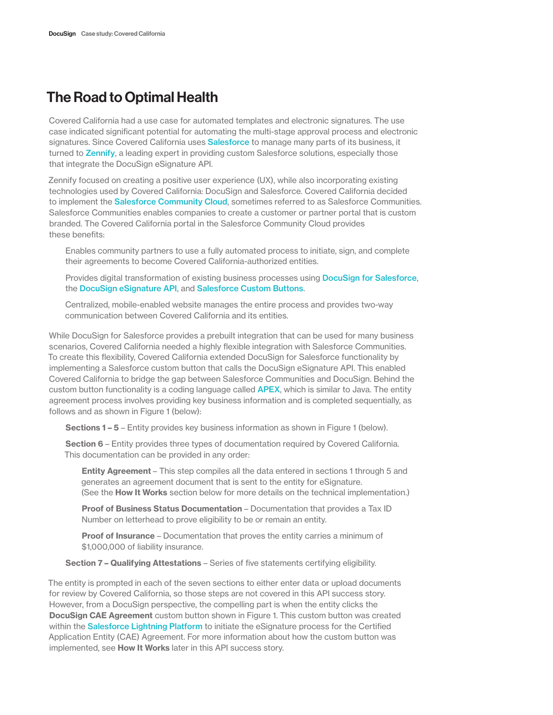## The Road to Optimal Health

Covered California had a use case for automated templates and electronic signatures. The use case indicated significant potential for automating the multi-stage approval process and electronic signatures. Since Covered California uses [Salesforce](https://www.salesforce.com) to manage many parts of its business, it turned to [Zennify](https://www.zennify.com/), a leading expert in providing custom Salesforce solutions, especially those that integrate the DocuSign eSignature API.

Zennify focused on creating a positive user experience (UX), while also incorporating existing technologies used by Covered California: DocuSign and Salesforce. Covered California decided to implement the [Salesforce Community Cloud](https://www.salesforce.com/products/community-cloud/overview/), sometimes referred to as Salesforce Communities. Salesforce Communities enables companies to create a customer or partner portal that is custom branded. The Covered California portal in the Salesforce Community Cloud provides these benefits:

Enables community partners to use a fully automated process to initiate, sign, and complete their agreements to become Covered California-authorized entities.

Provides digital transformation of existing business processes using [DocuSign for Salesforce](https://www.docusign.com/solutions/salesforce), the [DocuSign eSignature API](https://developers.docusign.com/esign-rest-api/guides), and [Salesforce Custom Buttons](https://help.salesforce.com/articleView?id=defining_custom_links.htm&type=0).

Centralized, mobile-enabled website manages the entire process and provides two-way communication between Covered California and its entities.

While DocuSign for Salesforce provides a prebuilt integration that can be used for many business scenarios, Covered California needed a highly flexible integration with Salesforce Communities. To create this flexibility, Covered California extended DocuSign for Salesforce functionality by implementing a Salesforce custom button that calls the DocuSign eSignature API. This enabled Covered California to bridge the gap between Salesforce Communities and DocuSign. Behind the custom button functionality is a coding language called **[APEX](https://developer.salesforce.com/docs/atlas.en-us.apexcode.meta/apexcode/apex_intro_what_is_apex.htm)**, which is similar to Java. The entity agreement process involves providing key business information and is completed sequentially, as follows and as shown in Figure 1 (below):

Sections 1 – 5 – Entity provides key business information as shown in Figure 1 (below).

Section 6 – Entity provides three types of documentation required by Covered California. This documentation can be provided in any order:

Entity Agreement – This step compiles all the data entered in sections 1 through 5 and generates an agreement document that is sent to the entity for eSignature. (See the How It Works section below for more details on the technical implementation.)

Proof of Business Status Documentation – Documentation that provides a Tax ID Number on letterhead to prove eligibility to be or remain an entity.

**Proof of Insurance** – Documentation that proves the entity carries a minimum of \$1,000,000 of liability insurance.

Section 7 – Qualifying Attestations – Series of five statements certifying eligibility.

The entity is prompted in each of the seven sections to either enter data or upload documents for review by Covered California, so those steps are not covered in this API success story. However, from a DocuSign perspective, the compelling part is when the entity clicks the **DocuSign CAE Agreement** custom button shown in Figure 1. This custom button was created within the [Salesforce Lightning Platform](https://developer.salesforce.com/platform/force.com) to initiate the eSignature process for the Certified Application Entity (CAE) Agreement. For more information about how the custom button was implemented, see **How It Works** later in this API success story.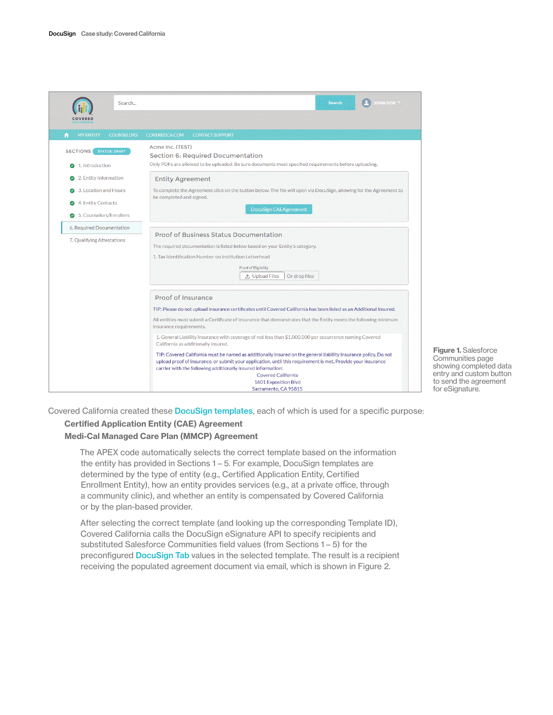

Figure 1. Salesforce Communities page showing completed data entry and custom button to send the agreement for eSignature.

Covered California created these [DocuSign templates](https://developers.docusign.com/esign-rest-api/guides/features/templates), each of which is used for a specific purpose:

### Certified Application Entity (CAE) Agreement

#### Medi-Cal Managed Care Plan (MMCP) Agreement

The APEX code automatically selects the correct template based on the information the entity has provided in Sections 1 – 5. For example, DocuSign templates are determined by the type of entity (e.g., Certified Application Entity, Certified Enrollment Entity), how an entity provides services (e.g., at a private office, through a community clinic), and whether an entity is compensated by Covered California or by the plan-based provider.

After selecting the correct template (and looking up the corresponding Template ID), Covered California calls the DocuSign eSignature API to specify recipients and substituted Salesforce Communities field values (from Sections 1 – 5) for the preconfigured [DocuSign Tab](https://developers.docusign.com/esign-rest-api/guides/features/templates#populating-data-in-a-template) values in the selected template. The result is a recipient receiving the populated agreement document via email, which is shown in Figure 2.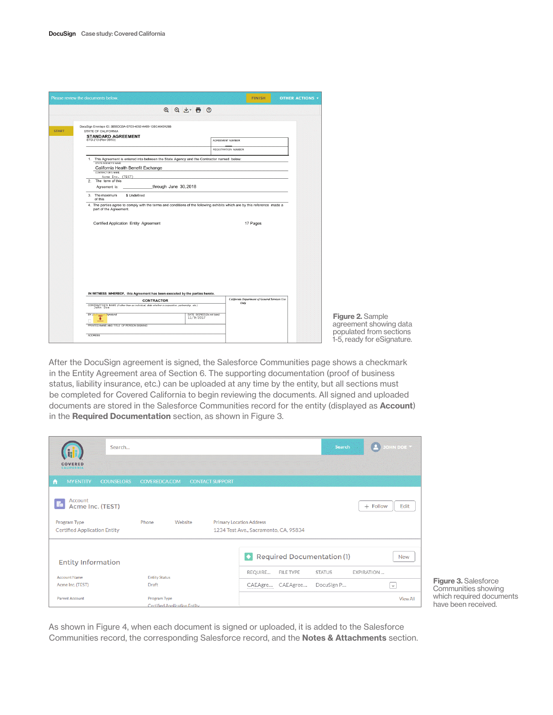| Please review the documents below.                                                                                                                                                                                                                                                                                                                                                                                                                                                                                                                          |                          | <b>FINISH</b>                                                | <b>OTHER ACTIONS v</b> |
|-------------------------------------------------------------------------------------------------------------------------------------------------------------------------------------------------------------------------------------------------------------------------------------------------------------------------------------------------------------------------------------------------------------------------------------------------------------------------------------------------------------------------------------------------------------|--------------------------|--------------------------------------------------------------|------------------------|
|                                                                                                                                                                                                                                                                                                                                                                                                                                                                                                                                                             | <b>@ @ y 面 @</b>         |                                                              |                        |
| DocuSign Envelope ID: 3B56DCBA-EFE9-4092-AA89-13BC4045A26B<br>STATE OF CALIFORNIA<br><b>STANDARD AGREEMENT</b><br>STD 213 (Rev 06/03)<br>1. This Agreement is entered into between the State Agency and the Contractor named below:<br>STATE AGENCY'S NAME<br>California Health Benefit Exchange<br>CONTRACTOR'S NAME<br>Acme Inc. (TEST)<br>2. The term of this<br>Agreement is:<br>3. The maximum<br>\$ Undefined<br>of this<br>4. The parties agree to comply with the terms and conditions of the following exhibits which are by this reference made a | _through June 30,2018    | AGREEMENT NUMBER<br><b>REGISTRATION NUMBER</b>               |                        |
| part of the Agreement.<br>Certified Application Entity Agreement                                                                                                                                                                                                                                                                                                                                                                                                                                                                                            |                          | 17 Pages                                                     |                        |
| IN WITNESS WHEREOF, this Agreement has been executed by the parties hereto.<br><b>CONTRACTOR</b><br>CONTRACTOR'S NAME (if other than an individual, state whether a corporation, partnership, etc.)<br>BY(A)<br>Signature)<br>Sign                                                                                                                                                                                                                                                                                                                          | DATE SIGNED(Do not type) | <b>California Department of General Services Use</b><br>Only |                        |
| ٠<br>PRINTED NAME AND TITLE OF PERSON SIGNING<br>ADDRESS                                                                                                                                                                                                                                                                                                                                                                                                                                                                                                    | 11/9/2017                |                                                              |                        |

After the DocuSign agreement is signed, the Salesforce Communities page shows a checkmark in the Entity Agreement area of Section 6. The supporting documentation (proof of business status, liability insurance, etc.) can be uploaded at any time by the entity, but all sections must be completed for Covered California to begin reviewing the documents. All signed and uploaded documents are stored in the Salesforce Communities record for the entity (displayed as Account) in the Required Documentation section, as shown in Figure 3.

| Search<br>COVERED<br><b>CALIFORNIA</b>               | <b>Search</b><br>JOHN DOE Y                                                                  |                 |
|------------------------------------------------------|----------------------------------------------------------------------------------------------|-----------------|
| <b>MY ENTITY</b><br><b>COUNSELORS</b><br>A           | COVEREDCA.COM<br><b>CONTACT SUPPORT</b>                                                      |                 |
| Account<br><b>T</b> <sub>E</sub><br>Acme Inc. (TEST) | $+$ Follow                                                                                   | Edit            |
| Program Type<br><b>Certified Application Entity</b>  | Phone<br>Website<br><b>Primary Location Address</b><br>1234 Test Ave., Sacramento, CA, 95834 |                 |
| <b>Entity Information</b>                            | <b>Required Documentation (1)</b><br>$\bullet$                                               | <b>New</b>      |
| <b>Account Name</b>                                  | REQUIRE<br><b>EXPIRATION</b><br>FILE TYPE<br><b>STATUS</b><br><b>Entity Status</b>           |                 |
| Acme Inc. (TEST)                                     | CAEAgre CAEAgree<br>DocuSign P<br>Draft<br>l v.                                              |                 |
| <b>Parent Account</b>                                | Program Type<br><b>Certified Application Entity</b>                                          | <b>View All</b> |

Figure 3. Salesforce Communities showing which required documents have been received.

As shown in Figure 4, when each document is signed or uploaded, it is added to the Salesforce Communities record, the corresponding Salesforce record, and the Notes & Attachments section.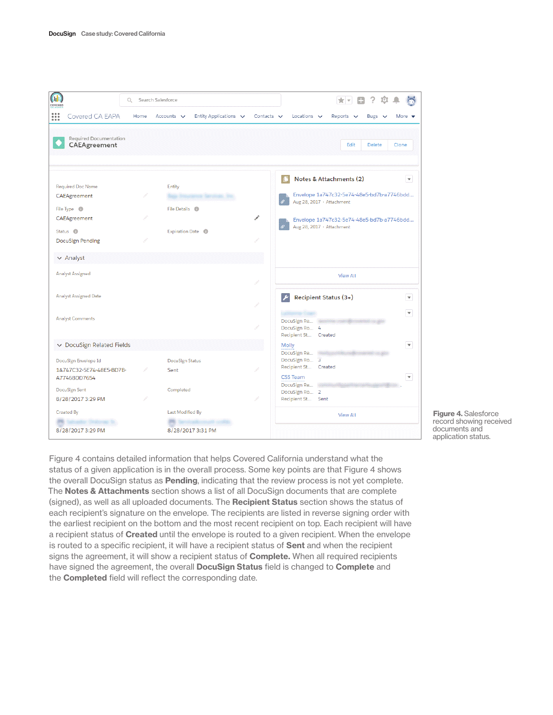| (i, j)<br>Q<br>COVERED                                           | Search Salesforce                             |                 | ⊟ ?<br>**                                                                                           |  |  |  |
|------------------------------------------------------------------|-----------------------------------------------|-----------------|-----------------------------------------------------------------------------------------------------|--|--|--|
| $\frac{1}{1}$<br>Covered CA EAPA<br>Home                         | Entity Applications $\vee$<br>Accounts $\vee$ | Contacts $\vee$ | Locations $\vee$<br>Reports $\vee$<br>Bugs $\vee$<br>More $\sqrt{ }$                                |  |  |  |
| Required Documentation<br>CAEAgreement                           |                                               |                 | Edit<br>Delete<br>Clone                                                                             |  |  |  |
| <b>Required Doc Name</b><br>CAEAgreement                         | Entity                                        |                 | Notes & Attachments (2)<br>$\mathbf{v}$<br>C<br>Envelope 1a747c32-5e74-48e5-bd7b-a7746bdd           |  |  |  |
| File Type <b>O</b><br>CAEAgreement                               | File Details <b>O</b>                         | ◢               | Aug 28, 2017 · Attachment<br>Envelope 1a747c32-5e74-48e5-bd7b-a7746bdd<br>Aug 28, 2017 · Attachment |  |  |  |
| Status <sup>O</sup><br><b>DocuSign Pending</b>                   | Expiration Date <sup>O</sup>                  |                 |                                                                                                     |  |  |  |
| $\vee$ Analyst                                                   |                                               |                 |                                                                                                     |  |  |  |
| <b>Analyst Assigned</b>                                          |                                               | View All        |                                                                                                     |  |  |  |
| <b>Analyst Assigned Date</b>                                     |                                               |                 | Recipient Status (3+)<br>$\overline{\mathbf{v}}$                                                    |  |  |  |
| <b>Analyst Comments</b>                                          |                                               |                 | $\overline{\mathbf v}$<br>DocuSign Re<br>DocuSign Ro 4<br>Recipient St Created                      |  |  |  |
| ↓ DocuSign Related Fields                                        |                                               |                 | $\overline{\mathbf{v}}$<br>Molly                                                                    |  |  |  |
| DocuSign Envelope Id<br>1A747C32-5E74-48E5-BD7B-<br>A7746BDD7654 | DocuSign Status<br>Sent                       |                 | DocuSign Re<br>DocuSign Ro 3<br>Recipient St Created<br>$\mathbf{v}$<br><b>CSS Team</b>             |  |  |  |
| DocuSign Sent<br>8/28/2017 3:29 PM                               | Completed                                     |                 | DocuSign Re<br>DocuSign Ro 2<br>Recipient St Sent                                                   |  |  |  |
| <b>Created By</b><br>8/28/2017 3:29 PM                           | Last Modified By<br>8/28/2017 3:31 PM         |                 | <b>View All</b>                                                                                     |  |  |  |



Figure 4 contains detailed information that helps Covered California understand what the status of a given application is in the overall process. Some key points are that Figure 4 shows the overall DocuSign status as **Pending**, indicating that the review process is not yet complete. The Notes & Attachments section shows a list of all DocuSign documents that are complete (signed), as well as all uploaded documents. The Recipient Status section shows the status of each recipient's signature on the envelope. The recipients are listed in reverse signing order with the earliest recipient on the bottom and the most recent recipient on top. Each recipient will have a recipient status of Created until the envelope is routed to a given recipient. When the envelope is routed to a specific recipient, it will have a recipient status of Sent and when the recipient signs the agreement, it will show a recipient status of **Complete.** When all required recipients have signed the agreement, the overall **DocuSign Status** field is changed to **Complete** and the **Completed** field will reflect the corresponding date.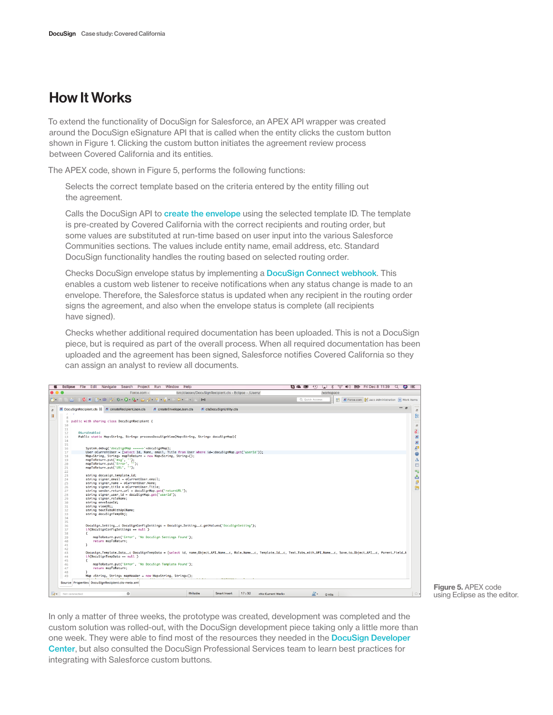### How It Works

To extend the functionality of DocuSign for Salesforce, an APEX API wrapper was created around the DocuSign eSignature API that is called when the entity clicks the custom button shown in Figure 1. Clicking the custom button initiates the agreement review process between Covered California and its entities.

The APEX code, shown in Figure 5, performs the following functions:

Selects the correct template based on the criteria entered by the entity filling out the agreement.

Calls the DocuSign API to [create the envelope](https://developers.docusign.com/esign-rest-api/reference/Envelopes/Envelopes/create) using the selected template ID. The template is pre-created by Covered California with the correct recipients and routing order, but some values are substituted at run-time based on user input into the various Salesforce Communities sections. The values include entity name, email address, etc. Standard DocuSign functionality handles the routing based on selected routing order.

Checks DocuSign envelope status by implementing a [DocuSign Connect webhook](https://developers.docusign.com/esign-rest-api/guides/connect). This enables a custom web listener to receive notifications when any status change is made to an envelope. Therefore, the Salesforce status is updated when any recipient in the routing order signs the agreement, and also when the envelope status is complete (all recipients have signed).

Checks whether additional required documentation has been uploaded. This is not a DocuSign piece, but is required as part of the overall process. When all required documentation has been uploaded and the agreement has been signed, Salesforce notifies Covered California so they can assign an analyst to review all documents.

|                            | Force.com -                                                                                                                                                                                                                                                                                                                                                                                                                                                                                         | /src/classes/DocuSignRecipient.cls - Eclipse - /Users/ |                            |                                       |                     | /workspace                                                          |              |
|----------------------------|-----------------------------------------------------------------------------------------------------------------------------------------------------------------------------------------------------------------------------------------------------------------------------------------------------------------------------------------------------------------------------------------------------------------------------------------------------------------------------------------------------|--------------------------------------------------------|----------------------------|---------------------------------------|---------------------|---------------------------------------------------------------------|--------------|
|                            | $\bigcirc \qquad \qquad \bigcirc \qquad \qquad \mathbf{A} \qquad \qquad \mathbf{X} \qquad \qquad \bigcirc \qquad \mathbf{B} \qquad \bigcirc \qquad \bigcirc \qquad \mathbf{B} \qquad \bigcirc \qquad \mathbf{A} \qquad \bigcirc \qquad \mathbf{A} \qquad \qquad \mathbf{A} \qquad \qquad \mathbf{A} \qquad \qquad \mathbf{A} \qquad \qquad \mathbf{A} \qquad \qquad \mathbf{A} \qquad \qquad \mathbf{A} \qquad \qquad \mathbf{A} \qquad \qquad \mathbf{A} \qquad \qquad \mathbf{A} \qquad \qquad \$ | D++D<br>- 6 - 6 - 6 - 6                                |                            |                                       | Q Quick Access      | <b>X</b> Force.com <b>3</b> Jazz Administration <b>9</b> Work Items |              |
|                            |                                                                                                                                                                                                                                                                                                                                                                                                                                                                                                     |                                                        |                            |                                       |                     |                                                                     |              |
|                            | X DocuSignRecipient.cls & X createRecipientJson.cls<br>$X$ createEnvelopeJson.cls                                                                                                                                                                                                                                                                                                                                                                                                                   |                                                        | $x$ clsDocuSignUtility.cls |                                       |                     |                                                                     | $=$ $\sigma$ |
| 8                          |                                                                                                                                                                                                                                                                                                                                                                                                                                                                                                     |                                                        |                            |                                       |                     |                                                                     |              |
| $\overline{9}$             | public with sharing class DocuSignRecipient {                                                                                                                                                                                                                                                                                                                                                                                                                                                       |                                                        |                            |                                       |                     |                                                                     |              |
| 10                         |                                                                                                                                                                                                                                                                                                                                                                                                                                                                                                     |                                                        |                            |                                       |                     |                                                                     |              |
| 11                         | <b>@AuraEnabled</b>                                                                                                                                                                                                                                                                                                                                                                                                                                                                                 |                                                        |                            |                                       |                     |                                                                     |              |
| 12<br>13                   | Public static Map <string, string=""> processDocuSignView(Map<string, string=""> docuSignMap){</string,></string,>                                                                                                                                                                                                                                                                                                                                                                                  |                                                        |                            |                                       |                     |                                                                     |              |
| 14                         |                                                                                                                                                                                                                                                                                                                                                                                                                                                                                                     |                                                        |                            |                                       |                     |                                                                     |              |
| 15                         |                                                                                                                                                                                                                                                                                                                                                                                                                                                                                                     |                                                        |                            |                                       |                     |                                                                     |              |
| 16                         | System.debua('docuSianMap ----->'+docuSianMap);                                                                                                                                                                                                                                                                                                                                                                                                                                                     |                                                        |                            |                                       |                     |                                                                     |              |
| 17                         | User oCurrentUser = [select Id, Name, email, Title from User where id=:docuSignMap.get('userId')];                                                                                                                                                                                                                                                                                                                                                                                                  |                                                        |                            |                                       |                     |                                                                     |              |
| 18                         | Map <string, string=""> mapToReturn = new Map<string, string="">();</string,></string,>                                                                                                                                                                                                                                                                                                                                                                                                             |                                                        |                            |                                       |                     |                                                                     |              |
| 19<br>20                   | mapToReturn.put('msg', '');<br>mapToReturn.put('Error', '');                                                                                                                                                                                                                                                                                                                                                                                                                                        |                                                        |                            |                                       |                     |                                                                     |              |
| 21                         | mapToReturn.put('URL', '');                                                                                                                                                                                                                                                                                                                                                                                                                                                                         |                                                        |                            |                                       |                     |                                                                     |              |
| 22                         |                                                                                                                                                                                                                                                                                                                                                                                                                                                                                                     |                                                        |                            |                                       |                     |                                                                     |              |
| 23                         | string docusign_template_id;                                                                                                                                                                                                                                                                                                                                                                                                                                                                        |                                                        |                            |                                       |                     |                                                                     |              |
| 24                         | string signer_email = oCurrentUser.email;                                                                                                                                                                                                                                                                                                                                                                                                                                                           |                                                        |                            |                                       |                     |                                                                     |              |
| 25                         | string signer_name = oCurrentUser.Name;                                                                                                                                                                                                                                                                                                                                                                                                                                                             |                                                        |                            |                                       |                     |                                                                     |              |
| 26                         | string signer_title = oCurrentUser.Title:                                                                                                                                                                                                                                                                                                                                                                                                                                                           |                                                        |                            |                                       |                     |                                                                     |              |
| 27<br>28                   | string sender_return_url = docuSignMap.get('returnURL');<br>string signer_user_id = docuSignMap.get('userId');                                                                                                                                                                                                                                                                                                                                                                                      |                                                        |                            |                                       |                     |                                                                     |              |
| 29                         | string signer_roleName;                                                                                                                                                                                                                                                                                                                                                                                                                                                                             |                                                        |                            |                                       |                     |                                                                     |              |
| 30                         | string envelopeId;                                                                                                                                                                                                                                                                                                                                                                                                                                                                                  |                                                        |                            |                                       |                     |                                                                     |              |
| 31                         | string viewURL;                                                                                                                                                                                                                                                                                                                                                                                                                                                                                     |                                                        |                            |                                       |                     |                                                                     |              |
| 32                         | string textTabsWithApiName;                                                                                                                                                                                                                                                                                                                                                                                                                                                                         |                                                        |                            |                                       |                     |                                                                     |              |
| 33                         | string docuSignTempObj;                                                                                                                                                                                                                                                                                                                                                                                                                                                                             |                                                        |                            |                                       |                     |                                                                     |              |
| 34                         |                                                                                                                                                                                                                                                                                                                                                                                                                                                                                                     |                                                        |                            |                                       |                     |                                                                     |              |
| 35<br>36                   | DocuSign_Setting__c DocuSignConfigSettings = DocuSign_Setting__c.getValues('DocuSignSetting');                                                                                                                                                                                                                                                                                                                                                                                                      |                                                        |                            |                                       |                     |                                                                     |              |
| 37                         | if(DocuSignConfigSettings == null)                                                                                                                                                                                                                                                                                                                                                                                                                                                                  |                                                        |                            |                                       |                     |                                                                     |              |
| 38                         | Ŧ                                                                                                                                                                                                                                                                                                                                                                                                                                                                                                   |                                                        |                            |                                       |                     |                                                                     |              |
| 39                         | mapToReturn.put('Error', 'No DocuSian Settinas Found');                                                                                                                                                                                                                                                                                                                                                                                                                                             |                                                        |                            |                                       |                     |                                                                     |              |
| 40                         | return mapToReturn:                                                                                                                                                                                                                                                                                                                                                                                                                                                                                 |                                                        |                            |                                       |                     |                                                                     |              |
| 41                         | 3                                                                                                                                                                                                                                                                                                                                                                                                                                                                                                   |                                                        |                            |                                       |                     |                                                                     |              |
| 42<br>43                   | Docusign_Template_Data__c DocuSignTempData = [select id, name,Object_API_Name__c, Role_Name__c, Template_Id__c, Text_Tabs_with_API_Name__c, Save_to_Object_API__c, Parent_Field_A                                                                                                                                                                                                                                                                                                                   |                                                        |                            |                                       |                     |                                                                     |              |
| 44                         | if(DocuSignTempData == null)                                                                                                                                                                                                                                                                                                                                                                                                                                                                        |                                                        |                            |                                       |                     |                                                                     |              |
| 45                         | Æ.                                                                                                                                                                                                                                                                                                                                                                                                                                                                                                  |                                                        |                            |                                       |                     |                                                                     |              |
| 46                         | mapToReturn.put('Error', 'No DocuSian Template Found');                                                                                                                                                                                                                                                                                                                                                                                                                                             |                                                        |                            |                                       |                     |                                                                     |              |
| 47                         | return mapToReturn:                                                                                                                                                                                                                                                                                                                                                                                                                                                                                 |                                                        |                            |                                       |                     |                                                                     |              |
| 48                         |                                                                                                                                                                                                                                                                                                                                                                                                                                                                                                     |                                                        |                            |                                       |                     |                                                                     |              |
| 49                         | Map <string, string=""> mapHeader = new Map<string, string="">();</string,></string,>                                                                                                                                                                                                                                                                                                                                                                                                               |                                                        |                            |                                       |                     |                                                                     |              |
|                            | Source Properties DocuSignRecipient.cls-meta.xml                                                                                                                                                                                                                                                                                                                                                                                                                                                    |                                                        |                            |                                       |                     |                                                                     |              |
|                            |                                                                                                                                                                                                                                                                                                                                                                                                                                                                                                     |                                                        |                            |                                       |                     |                                                                     |              |
| <b>Eleve</b> Not connected | $\circ$                                                                                                                                                                                                                                                                                                                                                                                                                                                                                             | Writable                                               | Smart Insert               | 17:32<br><no current="" work=""></no> | $\mathbb{A}$ o Hits |                                                                     |              |

Figure 5. APEX code using Eclipse as the editor.

In only a matter of three weeks, the prototype was created, development was completed and the custom solution was rolled-out, with the DocuSign development piece taking only a little more than one week. They were able to find most of the resources they needed in the **DocuSign Developer** [Center](https://developers.docusign.com), but also consulted the DocuSign Professional Services team to learn best practices for integrating with Salesforce custom buttons.